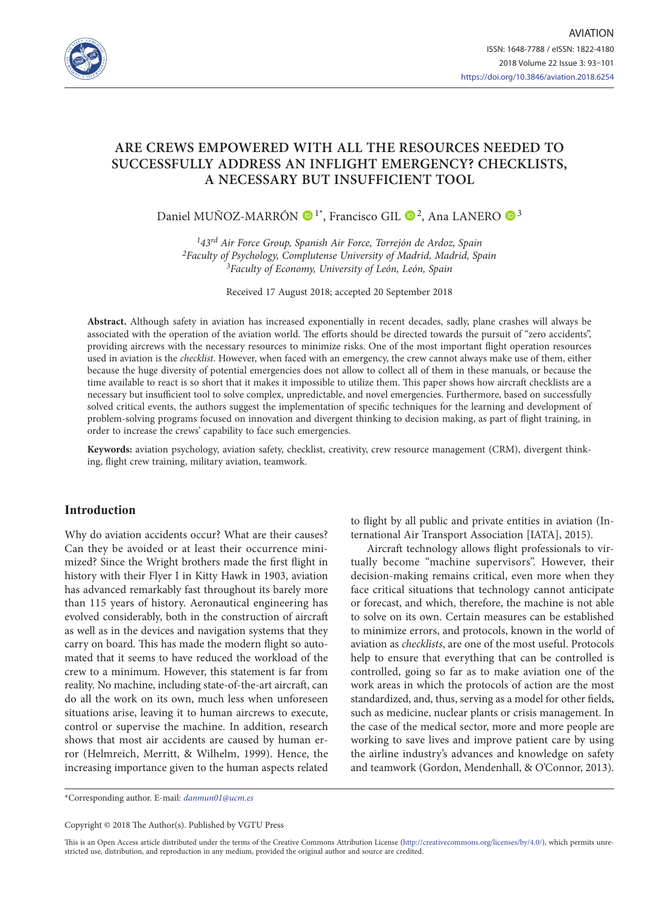

# **ARE CREWS EMPOWERED WITH ALL THE RESOURCES NEEDED TO SUCCESSFULLY ADDRESS AN INFLIGHT EMERGENCY? CHECKLISTS, A NECESSARY BUT INSUFFICIENT TOOL**

Daniel MUÑOZ-MARRÓN  $\bigcirc$ <sup>1\*</sup>, Francisco GIL  $\bigcirc$ <sup>2</sup>, Ana LANERO  $\bigcirc$ <sup>3</sup>

*143rd Air Force Group, Spanish Air Force, Torrejón de Ardoz, Spain 2Faculty of Psychology, Complutense University of Madrid, Madrid, Spain 3Faculty of Economy, University of León, León, Spain*

Received 17 August 2018; accepted 20 September 2018

**Abstract.** Although safety in aviation has increased exponentially in recent decades, sadly, plane crashes will always be associated with the operation of the aviation world. The efforts should be directed towards the pursuit of "zero accidents", providing aircrews with the necessary resources to minimize risks. One of the most important flight operation resources used in aviation is the *checklist*. However, when faced with an emergency, the crew cannot always make use of them, either because the huge diversity of potential emergencies does not allow to collect all of them in these manuals, or because the time available to react is so short that it makes it impossible to utilize them. This paper shows how aircraft checklists are a necessary but insufficient tool to solve complex, unpredictable, and novel emergencies. Furthermore, based on successfully solved critical events, the authors suggest the implementation of specific techniques for the learning and development of problem-solving programs focused on innovation and divergent thinking to decision making, as part of flight training, in order to increase the crews' capability to face such emergencies.

**Keywords:** aviation psychology, aviation safety, checklist, creativity, crew resource management (CRM), divergent thinking, flight crew training, military aviation, teamwork.

## **Introduction**

Why do aviation accidents occur? What are their causes? Can they be avoided or at least their occurrence minimized? Since the Wright brothers made the first flight in history with their Flyer I in Kitty Hawk in 1903, aviation has advanced remarkably fast throughout its barely more than 115 years of history. Aeronautical engineering has evolved considerably, both in the construction of aircraft as well as in the devices and navigation systems that they carry on board. This has made the modern flight so automated that it seems to have reduced the workload of the crew to a minimum. However, this statement is far from reality. No machine, including state-of-the-art aircraft, can do all the work on its own, much less when unforeseen situations arise, leaving it to human aircrews to execute, control or supervise the machine. In addition, research shows that most air accidents are caused by human error (Helmreich, Merritt, & Wilhelm, 1999). Hence, the increasing importance given to the human aspects related to flight by all public and private entities in aviation (International Air Transport Association [IATA], 2015).

Aircraft technology allows flight professionals to virtually become "machine supervisors". However, their decision-making remains critical, even more when they face critical situations that technology cannot anticipate or forecast, and which, therefore, the machine is not able to solve on its own. Certain measures can be established to minimize errors, and protocols, known in the world of aviation as *checklists*, are one of the most useful. Protocols help to ensure that everything that can be controlled is controlled, going so far as to make aviation one of the work areas in which the protocols of action are the most standardized, and, thus, serving as a model for other fields, such as medicine, nuclear plants or crisis management. In the case of the medical sector, more and more people are working to save lives and improve patient care by using the airline industry's advances and knowledge on safety and teamwork (Gordon, Mendenhall, & O'Connor, 2013).

\*Corresponding author. E-mail: *danmun01@ucm.es*

Copyright © 2018 The Author(s). Published by VGTU Press

This is an Open Access article distributed under the terms of the Creative Commons Attribution License (<http://creativecommons.org/licenses/by/4.0/>), which permits unrestricted use, distribution, and reproduction in any medium, provided the original author and source are credited.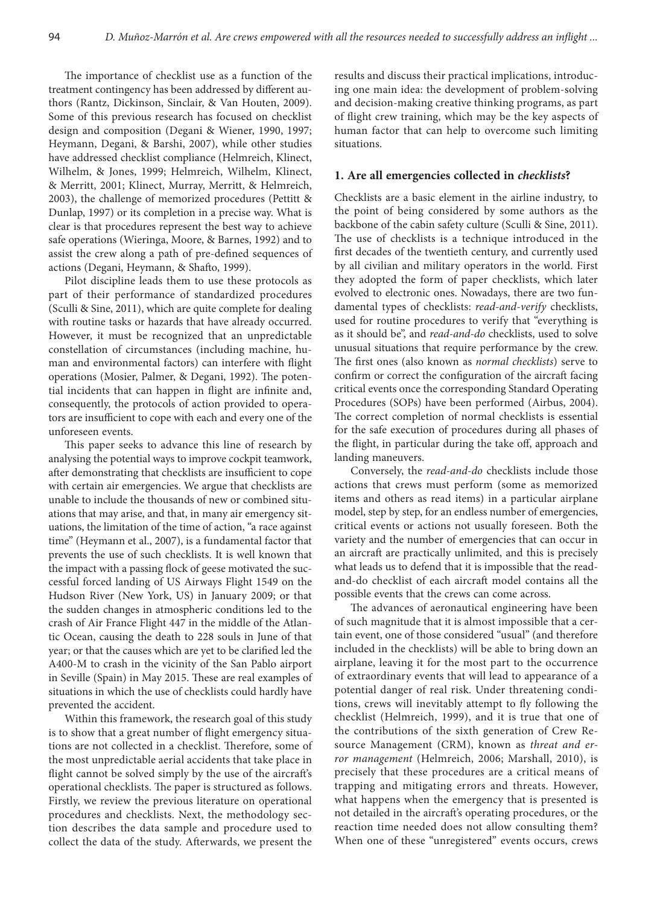The importance of checklist use as a function of the treatment contingency has been addressed by different authors (Rantz, Dickinson, Sinclair, & Van Houten, 2009). Some of this previous research has focused on checklist design and composition (Degani & Wiener, 1990, 1997; Heymann, Degani, & Barshi, 2007), while other studies have addressed checklist compliance (Helmreich, Klinect, Wilhelm, & Jones, 1999; Helmreich, Wilhelm, Klinect, & Merritt, 2001; Klinect, Murray, Merritt, & Helmreich, 2003), the challenge of memorized procedures (Pettitt & Dunlap, 1997) or its completion in a precise way. What is clear is that procedures represent the best way to achieve safe operations (Wieringa, Moore, & Barnes, 1992) and to assist the crew along a path of pre-defined sequences of actions (Degani, Heymann, & Shafto, 1999).

Pilot discipline leads them to use these protocols as part of their performance of standardized procedures (Sculli & Sine, 2011), which are quite complete for dealing with routine tasks or hazards that have already occurred. However, it must be recognized that an unpredictable constellation of circumstances (including machine, human and environmental factors) can interfere with flight operations (Mosier, Palmer, & Degani, 1992). The potential incidents that can happen in flight are infinite and, consequently, the protocols of action provided to operators are insufficient to cope with each and every one of the unforeseen events.

This paper seeks to advance this line of research by analysing the potential ways to improve cockpit teamwork, after demonstrating that checklists are insufficient to cope with certain air emergencies. We argue that checklists are unable to include the thousands of new or combined situations that may arise, and that, in many air emergency situations, the limitation of the time of action, "a race against time" (Heymann et al., 2007), is a fundamental factor that prevents the use of such checklists. It is well known that the impact with a passing flock of geese motivated the successful forced landing of US Airways Flight 1549 on the Hudson River (New York, US) in January 2009; or that the sudden changes in atmospheric conditions led to the crash of Air France Flight 447 in the middle of the Atlantic Ocean, causing the death to 228 souls in June of that year; or that the causes which are yet to be clarified led the A400-M to crash in the vicinity of the San Pablo airport in Seville (Spain) in May 2015. These are real examples of situations in which the use of checklists could hardly have prevented the accident.

Within this framework, the research goal of this study is to show that a great number of flight emergency situations are not collected in a checklist. Therefore, some of the most unpredictable aerial accidents that take place in flight cannot be solved simply by the use of the aircraft's operational checklists. The paper is structured as follows. Firstly, we review the previous literature on operational procedures and checklists. Next, the methodology section describes the data sample and procedure used to collect the data of the study. Afterwards, we present the

results and discuss their practical implications, introducing one main idea: the development of problem-solving and decision-making creative thinking programs, as part of flight crew training, which may be the key aspects of human factor that can help to overcome such limiting situations.

#### **1. Are all emergencies collected in** *checklists***?**

Checklists are a basic element in the airline industry, to the point of being considered by some authors as the backbone of the cabin safety culture (Sculli & Sine, 2011). The use of checklists is a technique introduced in the first decades of the twentieth century, and currently used by all civilian and military operators in the world. First they adopted the form of paper checklists, which later evolved to electronic ones. Nowadays, there are two fundamental types of checklists: *read-and-verify* checklists, used for routine procedures to verify that "everything is as it should be", and *read-and-do* checklists, used to solve unusual situations that require performance by the crew. The first ones (also known as *normal checklists*) serve to confirm or correct the configuration of the aircraft facing critical events once the corresponding Standard Operating Procedures (SOPs) have been performed (Airbus, 2004). The correct completion of normal checklists is essential for the safe execution of procedures during all phases of the flight, in particular during the take off, approach and landing maneuvers.

Conversely, the *read-and-do* checklists include those actions that crews must perform (some as memorized items and others as read items) in a particular airplane model, step by step, for an endless number of emergencies, critical events or actions not usually foreseen. Both the variety and the number of emergencies that can occur in an aircraft are practically unlimited, and this is precisely what leads us to defend that it is impossible that the readand-do checklist of each aircraft model contains all the possible events that the crews can come across.

The advances of aeronautical engineering have been of such magnitude that it is almost impossible that a certain event, one of those considered "usual" (and therefore included in the checklists) will be able to bring down an airplane, leaving it for the most part to the occurrence of extraordinary events that will lead to appearance of a potential danger of real risk. Under threatening conditions, crews will inevitably attempt to fly following the checklist (Helmreich, 1999), and it is true that one of the contributions of the sixth generation of Crew Resource Management (CRM), known as *threat and error management* (Helmreich, 2006; Marshall, 2010), is precisely that these procedures are a critical means of trapping and mitigating errors and threats. However, what happens when the emergency that is presented is not detailed in the aircraft's operating procedures, or the reaction time needed does not allow consulting them? When one of these "unregistered" events occurs, crews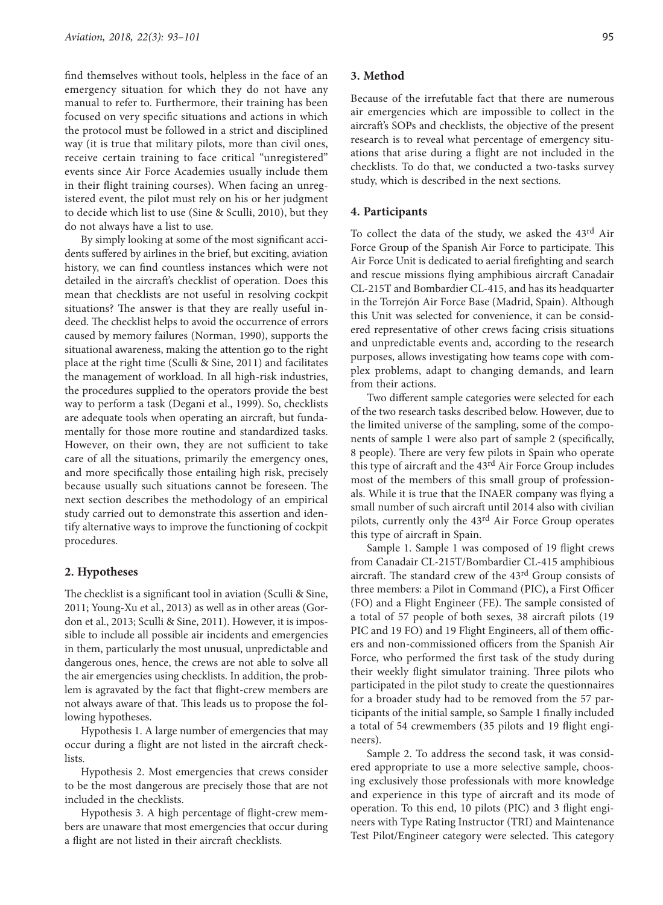find themselves without tools, helpless in the face of an emergency situation for which they do not have any manual to refer to. Furthermore, their training has been focused on very specific situations and actions in which the protocol must be followed in a strict and disciplined way (it is true that military pilots, more than civil ones, receive certain training to face critical "unregistered" events since Air Force Academies usually include them in their flight training courses). When facing an unregistered event, the pilot must rely on his or her judgment to decide which list to use (Sine & Sculli, 2010), but they do not always have a list to use.

By simply looking at some of the most significant accidents suffered by airlines in the brief, but exciting, aviation history, we can find countless instances which were not detailed in the aircraft's checklist of operation. Does this mean that checklists are not useful in resolving cockpit situations? The answer is that they are really useful indeed. The checklist helps to avoid the occurrence of errors caused by memory failures (Norman, 1990), supports the situational awareness, making the attention go to the right place at the right time (Sculli & Sine, 2011) and facilitates the management of workload. In all high-risk industries, the procedures supplied to the operators provide the best way to perform a task (Degani et al., 1999). So, checklists are adequate tools when operating an aircraft, but fundamentally for those more routine and standardized tasks. However, on their own, they are not sufficient to take care of all the situations, primarily the emergency ones, and more specifically those entailing high risk, precisely because usually such situations cannot be foreseen. The next section describes the methodology of an empirical study carried out to demonstrate this assertion and identify alternative ways to improve the functioning of cockpit procedures.

### **2. Hypotheses**

The checklist is a significant tool in aviation (Sculli & Sine, 2011; Young-Xu et al., 2013) as well as in other areas (Gordon et al., 2013; Sculli & Sine, 2011). However, it is impossible to include all possible air incidents and emergencies in them, particularly the most unusual, unpredictable and dangerous ones, hence, the crews are not able to solve all the air emergencies using checklists. In addition, the problem is agravated by the fact that flight-crew members are not always aware of that. This leads us to propose the following hypotheses.

Hypothesis 1. A large number of emergencies that may occur during a flight are not listed in the aircraft checklists.

Hypothesis 2. Most emergencies that crews consider to be the most dangerous are precisely those that are not included in the checklists.

Hypothesis 3. A high percentage of flight-crew members are unaware that most emergencies that occur during a flight are not listed in their aircraft checklists.

## **3. Method**

Because of the irrefutable fact that there are numerous air emergencies which are impossible to collect in the aircraft's SOPs and checklists, the objective of the present research is to reveal what percentage of emergency situations that arise during a flight are not included in the checklists. To do that, we conducted a two-tasks survey study, which is described in the next sections.

### **4. Participants**

To collect the data of the study, we asked the 43rd Air Force Group of the Spanish Air Force to participate. This Air Force Unit is dedicated to aerial firefighting and search and rescue missions flying amphibious aircraft Canadair CL-215T and Bombardier CL-415, and has its headquarter in the Torrejón Air Force Base (Madrid, Spain). Although this Unit was selected for convenience, it can be considered representative of other crews facing crisis situations and unpredictable events and, according to the research purposes, allows investigating how teams cope with complex problems, adapt to changing demands, and learn from their actions.

Two different sample categories were selected for each of the two research tasks described below. However, due to the limited universe of the sampling, some of the components of sample 1 were also part of sample 2 (specifically, 8 people). There are very few pilots in Spain who operate this type of aircraft and the 43rd Air Force Group includes most of the members of this small group of professionals. While it is true that the INAER company was flying a small number of such aircraft until 2014 also with civilian pilots, currently only the 43rd Air Force Group operates this type of aircraft in Spain.

Sample 1. Sample 1 was composed of 19 flight crews from Canadair CL-215T/Bombardier CL-415 amphibious aircraft. The standard crew of the 43rd Group consists of three members: a Pilot in Command (PIC), a First Officer (FO) and a Flight Engineer (FE). The sample consisted of a total of 57 people of both sexes, 38 aircraft pilots (19 PIC and 19 FO) and 19 Flight Engineers, all of them officers and non-commissioned officers from the Spanish Air Force, who performed the first task of the study during their weekly flight simulator training. Three pilots who participated in the pilot study to create the questionnaires for a broader study had to be removed from the 57 participants of the initial sample, so Sample 1 finally included a total of 54 crewmembers (35 pilots and 19 flight engineers).

Sample 2. To address the second task, it was considered appropriate to use a more selective sample, choosing exclusively those professionals with more knowledge and experience in this type of aircraft and its mode of operation. To this end, 10 pilots (PIC) and 3 flight engineers with Type Rating Instructor (TRI) and Maintenance Test Pilot/Engineer category were selected. This category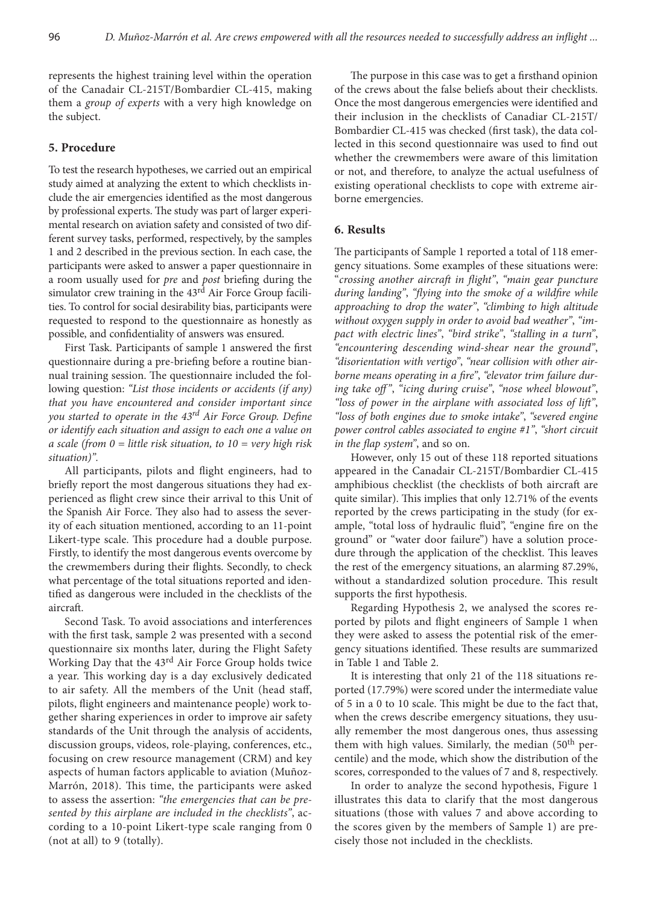represents the highest training level within the operation of the Canadair CL-215T/Bombardier CL-415, making them a *group of experts* with a very high knowledge on the subject.

## **5. Procedure**

To test the research hypotheses, we carried out an empirical study aimed at analyzing the extent to which checklists include the air emergencies identified as the most dangerous by professional experts. The study was part of larger experimental research on aviation safety and consisted of two different survey tasks, performed, respectively, by the samples 1 and 2 described in the previous section. In each case, the participants were asked to answer a paper questionnaire in a room usually used for *pre* and *post* briefing during the simulator crew training in the 43<sup>rd</sup> Air Force Group facilities. To control for social desirability bias, participants were requested to respond to the questionnaire as honestly as possible, and confidentiality of answers was ensured.

First Task. Participants of sample 1 answered the first questionnaire during a pre-briefing before a routine biannual training session. The questionnaire included the following question: *"List those incidents or accidents (if any) that you have encountered and consider important since you started to operate in the 43rd Air Force Group. Define or identify each situation and assign to each one a value on a scale (from 0 = little risk situation, to 10 = very high risk situation)".*

All participants, pilots and flight engineers, had to briefly report the most dangerous situations they had experienced as flight crew since their arrival to this Unit of the Spanish Air Force. They also had to assess the severity of each situation mentioned, according to an 11-point Likert-type scale. This procedure had a double purpose. Firstly, to identify the most dangerous events overcome by the crewmembers during their flights. Secondly, to check what percentage of the total situations reported and identified as dangerous were included in the checklists of the aircraft.

Second Task. To avoid associations and interferences with the first task, sample 2 was presented with a second questionnaire six months later, during the Flight Safety Working Day that the 43rd Air Force Group holds twice a year. This working day is a day exclusively dedicated to air safety. All the members of the Unit (head staff, pilots, flight engineers and maintenance people) work together sharing experiences in order to improve air safety standards of the Unit through the analysis of accidents, discussion groups, videos, role-playing, conferences, etc., focusing on crew resource management (CRM) and key aspects of human factors applicable to aviation (Muñoz-Marrón, 2018). This time, the participants were asked to assess the assertion: *"the emergencies that can be presented by this airplane are included in the checklists"*, according to a 10-point Likert-type scale ranging from 0 (not at all) to 9 (totally).

The purpose in this case was to get a firsthand opinion of the crews about the false beliefs about their checklists. Once the most dangerous emergencies were identified and their inclusion in the checklists of Canadiar CL-215T/ Bombardier CL-415 was checked (first task), the data collected in this second questionnaire was used to find out whether the crewmembers were aware of this limitation or not, and therefore, to analyze the actual usefulness of existing operational checklists to cope with extreme airborne emergencies.

## **6. Results**

The participants of Sample 1 reported a total of 118 emergency situations. Some examples of these situations were: "*crossing another aircraft in flight"*, *"main gear puncture during landing"*, *"flying into the smoke of a wildfire while approaching to drop the water"*, *"climbing to high altitude without oxygen supply in order to avoid bad weather"*, *"impact with electric lines"*, *"bird strike"*, *"stalling in a turn"*, *"encountering descending wind-shear near the ground"*, *"disorientation with vertigo"*, *"near collision with other airborne means operating in a fire"*, *"elevator trim failure during take off "*, *"icing during cruise"*, *"nose wheel blowout"*, *"loss of power in the airplane with associated loss of lift"*, *"loss of both engines due to smoke intake"*, *"severed engine power control cables associated to engine #1"*, *"short circuit in the flap system"*, and so on.

However, only 15 out of these 118 reported situations appeared in the Canadair CL-215T/Bombardier CL-415 amphibious checklist (the checklists of both aircraft are quite similar). This implies that only 12.71% of the events reported by the crews participating in the study (for example, "total loss of hydraulic fluid", "engine fire on the ground" or "water door failure") have a solution procedure through the application of the checklist. This leaves the rest of the emergency situations, an alarming 87.29%, without a standardized solution procedure. This result supports the first hypothesis.

Regarding Hypothesis 2, we analysed the scores reported by pilots and flight engineers of Sample 1 when they were asked to assess the potential risk of the emergency situations identified. These results are summarized in Table 1 and Table 2.

It is interesting that only 21 of the 118 situations reported (17.79%) were scored under the intermediate value of 5 in a 0 to 10 scale. This might be due to the fact that, when the crews describe emergency situations, they usually remember the most dangerous ones, thus assessing them with high values. Similarly, the median  $(50<sup>th</sup>$  percentile) and the mode, which show the distribution of the scores, corresponded to the values of 7 and 8, respectively.

In order to analyze the second hypothesis, Figure 1 illustrates this data to clarify that the most dangerous situations (those with values 7 and above according to the scores given by the members of Sample 1) are precisely those not included in the checklists.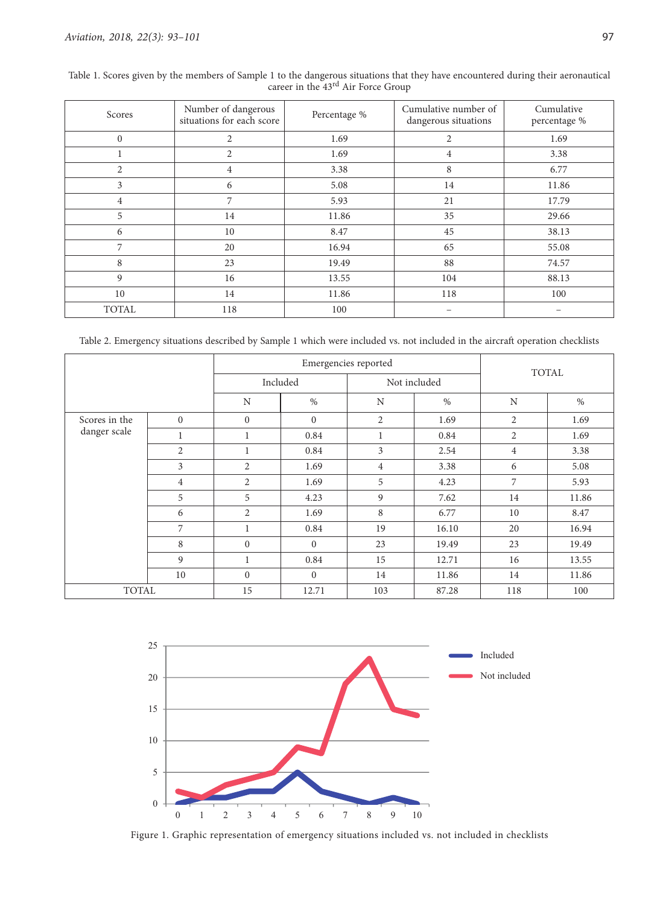| Scores         | Number of dangerous<br>situations for each score | Percentage % | Cumulative number of<br>dangerous situations | Cumulative<br>percentage % |  |
|----------------|--------------------------------------------------|--------------|----------------------------------------------|----------------------------|--|
| $\mathbf{0}$   | $\overline{2}$                                   | 1.69         | $\overline{2}$                               | 1.69                       |  |
|                | $\mathfrak{2}$                                   | 1.69         | $\overline{4}$                               | 3.38                       |  |
| $\overline{2}$ | $\overline{4}$                                   | 3.38         | 8                                            | 6.77                       |  |
| 3              | 6                                                | 5.08         | 14                                           | 11.86                      |  |
| $\overline{4}$ | 7                                                | 5.93         | 21                                           | 17.79                      |  |
| 5              | 14                                               | 11.86        | 35                                           | 29.66                      |  |
| 6              | 10                                               | 8.47         | 45                                           | 38.13                      |  |
| 7              | 20                                               | 16.94        | 65                                           | 55.08                      |  |
| 8              | 23                                               | 19.49        | 88                                           | 74.57                      |  |
| 9              | 16                                               | 13.55        | 104                                          | 88.13                      |  |
| 10             | 14                                               | 11.86        | 118                                          | 100                        |  |
| <b>TOTAL</b>   | 118                                              | 100          |                                              |                            |  |

Table 1. Scores given by the members of Sample 1 to the dangerous situations that they have encountered during their aeronautical career in the 43rd Air Force Group

Table 2. Emergency situations described by Sample 1 which were included vs. not included in the aircraft operation checklists

|               |                   |                | Emergencies reported | <b>TOTAL</b>   |              |                |       |  |
|---------------|-------------------|----------------|----------------------|----------------|--------------|----------------|-------|--|
|               |                   |                | Included             |                | Not included |                |       |  |
|               |                   | N              | $\%$                 | N              | $\%$         | N              | $\%$  |  |
| Scores in the | $\mathbf{0}$      | $\mathbf{0}$   | $\mathbf{0}$         | $\overline{2}$ | 1.69         | 2              | 1.69  |  |
| danger scale  | 1                 |                | 0.84                 | 1              | 0.84         | 2              | 1.69  |  |
|               | $\overline{2}$    | $\mathbf 1$    | 0.84                 | 3              | 2.54         | $\overline{4}$ | 3.38  |  |
|               | 3                 | $\overline{2}$ | 1.69                 | 4              | 3.38         | 6              | 5.08  |  |
|               | $\overline{4}$    | $\overline{2}$ | 1.69                 | 5              | 4.23         | 7              | 5.93  |  |
|               | 5                 | 5              | 4.23                 | 9              | 7.62         | 14             | 11.86 |  |
|               | 6                 | 2              | 1.69                 | 8              | 6.77         | 10             | 8.47  |  |
|               | 7                 |                | 0.84                 | 19             | 16.10        | 20             | 16.94 |  |
|               | 8<br>$\mathbf{0}$ |                | $\mathbf{0}$         | 23             | 19.49        | 23             | 19.49 |  |
|               | 9                 |                | 0.84                 | 15             | 12.71        | 16             | 13.55 |  |
|               | 10                | $\overline{0}$ | $\mathbf{0}$         | 14             | 11.86        | 14             | 11.86 |  |
| <b>TOTAL</b>  |                   | 15             | 12.71                | 103            | 87.28        | 118            | 100   |  |



Figure 1. Graphic representation of emergency situations included vs. not included in checklists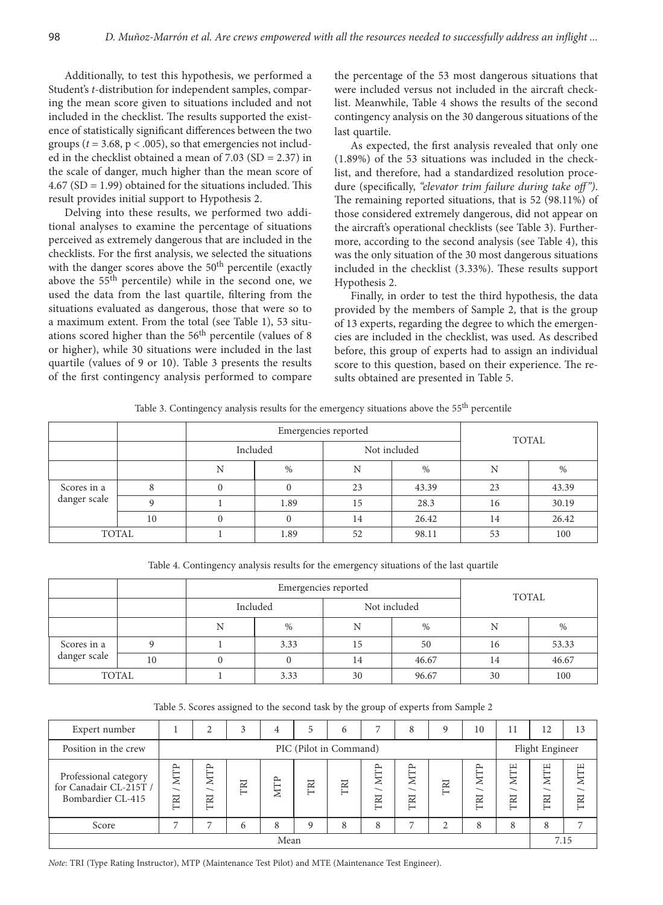Additionally, to test this hypothesis, we performed a Student's *t*-distribution for independent samples, comparing the mean score given to situations included and not included in the checklist. The results supported the existence of statistically significant differences between the two groups ( $t = 3.68$ ,  $p < .005$ ), so that emergencies not included in the checklist obtained a mean of 7.03 (SD = 2.37) in the scale of danger, much higher than the mean score of 4.67 (SD = 1.99) obtained for the situations included. This result provides initial support to Hypothesis 2.

Delving into these results, we performed two additional analyses to examine the percentage of situations perceived as extremely dangerous that are included in the checklists. For the first analysis, we selected the situations with the danger scores above the  $50<sup>th</sup>$  percentile (exactly above the  $55<sup>th</sup>$  percentile) while in the second one, we used the data from the last quartile, filtering from the situations evaluated as dangerous, those that were so to a maximum extent. From the total (see Table 1), 53 situations scored higher than the  $56<sup>th</sup>$  percentile (values of 8) or higher), while 30 situations were included in the last quartile (values of 9 or 10). Table 3 presents the results of the first contingency analysis performed to compare

the percentage of the 53 most dangerous situations that were included versus not included in the aircraft checklist. Meanwhile, Table 4 shows the results of the second contingency analysis on the 30 dangerous situations of the last quartile.

As expected, the first analysis revealed that only one (1.89%) of the 53 situations was included in the checklist, and therefore, had a standardized resolution procedure (specifically, *"elevator trim failure during take off ")*. The remaining reported situations, that is 52 (98.11%) of those considered extremely dangerous, did not appear on the aircraft's operational checklists (see Table 3). Furthermore, according to the second analysis (see Table 4), this was the only situation of the 30 most dangerous situations included in the checklist (3.33%). These results support Hypothesis 2.

Finally, in order to test the third hypothesis, the data provided by the members of Sample 2, that is the group of 13 experts, regarding the degree to which the emergencies are included in the checklist, was used. As described before, this group of experts had to assign an individual score to this question, based on their experience. The results obtained are presented in Table 5.

Table 3. Contingency analysis results for the emergency situations above the 55<sup>th</sup> percentile

|                             |    |   | Emergencies reported | <b>TOTAL</b> |              |    |       |  |
|-----------------------------|----|---|----------------------|--------------|--------------|----|-------|--|
|                             |    |   | Included             |              | Not included |    |       |  |
|                             |    | N | $\%$                 | Ν            | $\%$         | N  | %     |  |
| Scores in a<br>danger scale |    |   |                      | 23           | 43.39        | 23 | 43.39 |  |
|                             |    |   | 1.89                 | 15           | 28.3         | 16 | 30.19 |  |
|                             | 10 |   | $\theta$             | 14           | 26.42        | 14 | 26.42 |  |
| TOTAL                       |    |   | 1.89                 | 52           | 98.11        | 53 | 100   |  |

Table 4. Contingency analysis results for the emergency situations of the last quartile

|              |    |           | Emergencies reported | TOTAL    |              |    |       |  |
|--------------|----|-----------|----------------------|----------|--------------|----|-------|--|
|              |    |           | Included             |          | Not included |    |       |  |
|              |    | <b>NT</b> | $\%$                 | N        | $\%$         | N  | %     |  |
| Scores in a  |    |           | 3.33                 | 50<br>15 |              | 16 | 53.33 |  |
| danger scale | 10 |           | $\mathbf{0}$         | 14       | 46.67        | 14 | 46.67 |  |
| TOTAL        |    |           | 3.33                 | 30       | 96.67        | 30 | 100   |  |

Table 5. Scores assigned to the second task by the group of experts from Sample 2

| Expert number                                                        |                                               | ◠                                             | 3   |            | 5           | 6   |                                                         | 8                      | q    | 10                                            | 11                 | 12                                            | 13                                            |
|----------------------------------------------------------------------|-----------------------------------------------|-----------------------------------------------|-----|------------|-------------|-----|---------------------------------------------------------|------------------------|------|-----------------------------------------------|--------------------|-----------------------------------------------|-----------------------------------------------|
| Position in the crew                                                 |                                               | PIC (Pilot in Command)                        |     |            |             |     |                                                         |                        |      |                                               | Flight Engineer    |                                               |                                               |
| Professional category<br>for Canadair CL-215T /<br>Bombardier CL-415 | <b>MTP</b><br>$\overline{\phantom{0}}$<br>TRI | <b>NTP</b><br>$\overline{\phantom{0}}$<br>TRI | TRI | <b>MTP</b> | TRI         | TRI | ٻم<br>⊢<br>Z<br>$\overline{\phantom{0}}$<br>$R_{\rm I}$ | <b>MTP</b><br>ー<br>TRI | TRI  | <b>MTP</b><br>$\overline{\phantom{0}}$<br>TRI | Ë<br>↤<br>∽<br>IRI | <b>MTE</b><br>$\overline{\phantom{0}}$<br>TRI | <b>MTE</b><br>$\overline{\phantom{0}}$<br>TRI |
| Score                                                                |                                               |                                               | 6   | 8          | $\mathbf Q$ | 8   |                                                         | ⇁                      | ↑    | 8                                             | 8                  | 8                                             | $\overline{ }$                                |
| Mean                                                                 |                                               |                                               |     |            |             |     |                                                         |                        | 7.15 |                                               |                    |                                               |                                               |

*Note*: TRI (Type Rating Instructor), MTP (Maintenance Test Pilot) and MTE (Maintenance Test Engineer).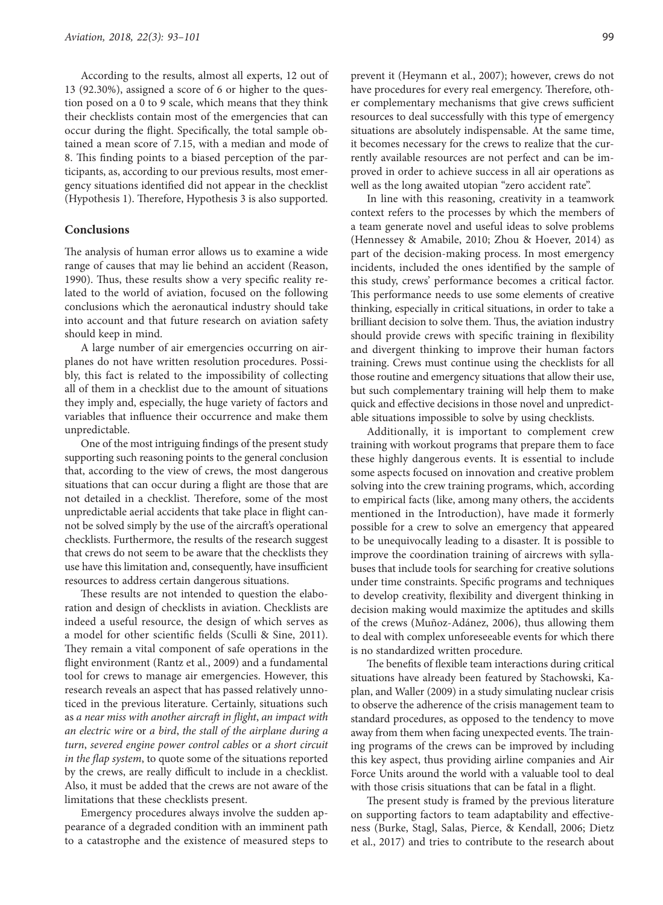According to the results, almost all experts, 12 out of 13 (92.30%), assigned a score of 6 or higher to the question posed on a 0 to 9 scale, which means that they think their checklists contain most of the emergencies that can occur during the flight. Specifically, the total sample obtained a mean score of 7.15, with a median and mode of 8. This finding points to a biased perception of the participants, as, according to our previous results, most emergency situations identified did not appear in the checklist (Hypothesis 1). Therefore, Hypothesis 3 is also supported.

# **Conclusions**

The analysis of human error allows us to examine a wide range of causes that may lie behind an accident (Reason, 1990). Thus, these results show a very specific reality related to the world of aviation, focused on the following conclusions which the aeronautical industry should take into account and that future research on aviation safety should keep in mind.

A large number of air emergencies occurring on airplanes do not have written resolution procedures. Possibly, this fact is related to the impossibility of collecting all of them in a checklist due to the amount of situations they imply and, especially, the huge variety of factors and variables that influence their occurrence and make them unpredictable.

One of the most intriguing findings of the present study supporting such reasoning points to the general conclusion that, according to the view of crews, the most dangerous situations that can occur during a flight are those that are not detailed in a checklist. Therefore, some of the most unpredictable aerial accidents that take place in flight cannot be solved simply by the use of the aircraft's operational checklists. Furthermore, the results of the research suggest that crews do not seem to be aware that the checklists they use have this limitation and, consequently, have insufficient resources to address certain dangerous situations.

These results are not intended to question the elaboration and design of checklists in aviation. Checklists are indeed a useful resource, the design of which serves as a model for other scientific fields (Sculli & Sine, 2011). They remain a vital component of safe operations in the flight environment (Rantz et al., 2009) and a fundamental tool for crews to manage air emergencies. However, this research reveals an aspect that has passed relatively unnoticed in the previous literature. Certainly, situations such as *a near miss with another aircraft in flight*, *an impact with an electric wire* or *a bird*, *the stall of the airplane during a turn*, *severed engine power control cables* or *a short circuit in the flap system*, to quote some of the situations reported by the crews, are really difficult to include in a checklist. Also, it must be added that the crews are not aware of the limitations that these checklists present.

Emergency procedures always involve the sudden appearance of a degraded condition with an imminent path to a catastrophe and the existence of measured steps to prevent it (Heymann et al., 2007); however, crews do not have procedures for every real emergency. Therefore, other complementary mechanisms that give crews sufficient resources to deal successfully with this type of emergency situations are absolutely indispensable. At the same time, it becomes necessary for the crews to realize that the currently available resources are not perfect and can be improved in order to achieve success in all air operations as well as the long awaited utopian "zero accident rate".

In line with this reasoning, creativity in a teamwork context refers to the processes by which the members of a team generate novel and useful ideas to solve problems (Hennessey & Amabile, 2010; Zhou & Hoever, 2014) as part of the decision-making process. In most emergency incidents, included the ones identified by the sample of this study, crews' performance becomes a critical factor. This performance needs to use some elements of creative thinking, especially in critical situations, in order to take a brilliant decision to solve them. Thus, the aviation industry should provide crews with specific training in flexibility and divergent thinking to improve their human factors training. Crews must continue using the checklists for all those routine and emergency situations that allow their use, but such complementary training will help them to make quick and effective decisions in those novel and unpredictable situations impossible to solve by using checklists.

Additionally, it is important to complement crew training with workout programs that prepare them to face these highly dangerous events. It is essential to include some aspects focused on innovation and creative problem solving into the crew training programs, which, according to empirical facts (like, among many others, the accidents mentioned in the Introduction), have made it formerly possible for a crew to solve an emergency that appeared to be unequivocally leading to a disaster. It is possible to improve the coordination training of aircrews with syllabuses that include tools for searching for creative solutions under time constraints. Specific programs and techniques to develop creativity, flexibility and divergent thinking in decision making would maximize the aptitudes and skills of the crews (Muñoz-Adánez, 2006), thus allowing them to deal with complex unforeseeable events for which there is no standardized written procedure.

The benefits of flexible team interactions during critical situations have already been featured by Stachowski, Kaplan, and Waller (2009) in a study simulating nuclear crisis to observe the adherence of the crisis management team to standard procedures, as opposed to the tendency to move away from them when facing unexpected events. The training programs of the crews can be improved by including this key aspect, thus providing airline companies and Air Force Units around the world with a valuable tool to deal with those crisis situations that can be fatal in a flight.

The present study is framed by the previous literature on supporting factors to team adaptability and effectiveness (Burke, Stagl, Salas, Pierce, & Kendall, 2006; Dietz et al., 2017) and tries to contribute to the research about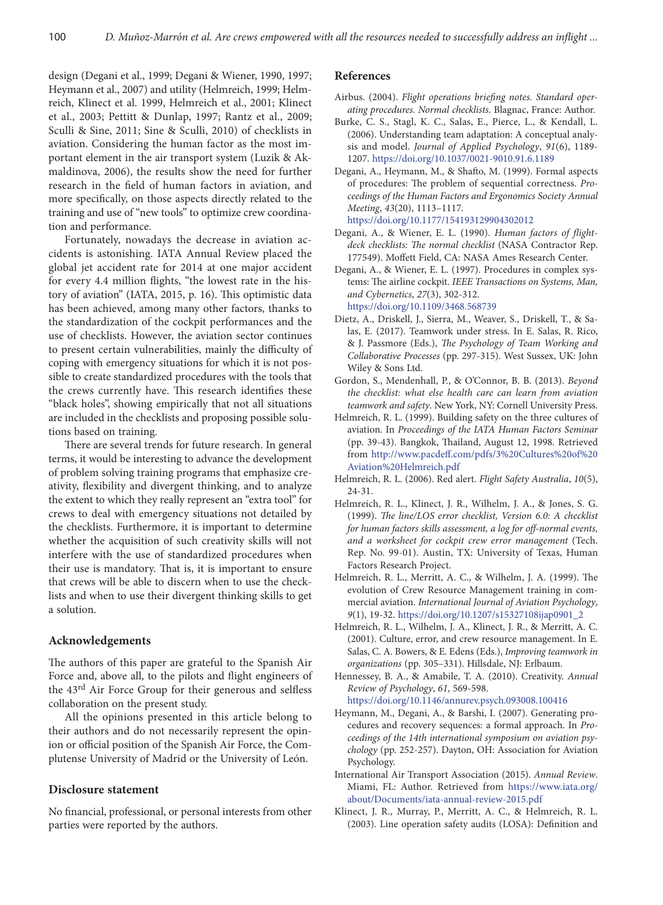design (Degani et al., 1999; Degani & Wiener, 1990, 1997; Heymann et al., 2007) and utility (Helmreich, 1999; Helmreich, Klinect et al. 1999, Helmreich et al., 2001; Klinect et al., 2003; Pettitt & Dunlap, 1997; Rantz et al., 2009; Sculli & Sine, 2011; Sine & Sculli, 2010) of checklists in aviation. Considering the human factor as the most important element in the air transport system (Luzik & Akmaldinova, 2006), the results show the need for further research in the field of human factors in aviation, and more specifically, on those aspects directly related to the training and use of "new tools" to optimize crew coordination and performance.

Fortunately, nowadays the decrease in aviation accidents is astonishing. IATA Annual Review placed the global jet accident rate for 2014 at one major accident for every 4.4 million flights, "the lowest rate in the history of aviation" (IATA, 2015, p. 16). This optimistic data has been achieved, among many other factors, thanks to the standardization of the cockpit performances and the use of checklists. However, the aviation sector continues to present certain vulnerabilities, mainly the difficulty of coping with emergency situations for which it is not possible to create standardized procedures with the tools that the crews currently have. This research identifies these "black holes", showing empirically that not all situations are included in the checklists and proposing possible solutions based on training.

There are several trends for future research. In general terms, it would be interesting to advance the development of problem solving training programs that emphasize creativity, flexibility and divergent thinking, and to analyze the extent to which they really represent an "extra tool" for crews to deal with emergency situations not detailed by the checklists. Furthermore, it is important to determine whether the acquisition of such creativity skills will not interfere with the use of standardized procedures when their use is mandatory. That is, it is important to ensure that crews will be able to discern when to use the checklists and when to use their divergent thinking skills to get a solution.

## **Acknowledgements**

The authors of this paper are grateful to the Spanish Air Force and, above all, to the pilots and flight engineers of the 43<sup>rd</sup> Air Force Group for their generous and selfless collaboration on the present study.

All the opinions presented in this article belong to their authors and do not necessarily represent the opinion or official position of the Spanish Air Force, the Complutense University of Madrid or the University of León.

### **Disclosure statement**

No financial, professional, or personal interests from other parties were reported by the authors.

#### **References**

- Airbus. (2004). *Flight operations briefing notes. Standard operating procedures. Normal checklists*. Blagnac, France: Author.
- Burke, C. S., Stagl, K. C., Salas, E., Pierce, L., & Kendall, L. (2006). Understanding team adaptation: A conceptual analysis and model. *Journal of Applied Psychology*, *91*(6), 1189- 1207. <https://doi.org/10.1037/0021-9010.91.6.1189>
- Degani, A., Heymann, M., & Shafto, M. (1999). Formal aspects of procedures: The problem of sequential correctness. *Proceedings of the Human Factors and Ergonomics Society Annual Meeting*, *43*(20), 1113–1117. <https://doi.org/10.1177/154193129904302012>
- Degani, A., & Wiener, E. L. (1990). *Human factors of flightdeck checklists: The normal checklist* (NASA Contractor Rep. 177549). Moffett Field, CA: NASA Ames Research Center.
- Degani, A., & Wiener, E. L. (1997). Procedures in complex systems: The airline cockpit. *IEEE Transactions on Systems, Man, and Cybernetics*, *27*(3), 302-312. <https://doi.org/10.1109/3468.568739>
- Dietz, A., Driskell, J., Sierra, M., Weaver, S., Driskell, T., & Salas, E. (2017). Teamwork under stress. In E. Salas, R. Rico, & J. Passmore (Eds.), *The Psychology of Team Working and Collaborative Processes* (pp. 297-315). West Sussex, UK: John Wiley & Sons Ltd.
- Gordon, S., Mendenhall, P., & O'Connor, B. B. (2013). *Beyond the checklist: what else health care can learn from aviation teamwork and safety*. New York, NY: Cornell University Press.
- Helmreich, R. L. (1999). Building safety on the three cultures of aviation. In *Proceedings of the IATA Human Factors Seminar* (pp. 39-43). Bangkok, Thailand, August 12, 1998. Retrieved from [http://www.pacdeff.com/pdfs/3%20Cultures%20of%20](http://www.pacdeff.com/pdfs/3%20Cultures%20of%20Aviation%20Helmreich.pdf) [Aviation%20Helmreich.pdf](http://www.pacdeff.com/pdfs/3%20Cultures%20of%20Aviation%20Helmreich.pdf)
- Helmreich, R. L. (2006). Red alert. *Flight Safety Australia*, *10*(5), 24-31.
- Helmreich, R. L., Klinect, J. R., Wilhelm, J. A., & Jones, S. G. (1999). *The line/LOS error checklist, Version 6.0: A checklist for human factors skills assessment, a log for off-normal events, and a worksheet for cockpit crew error management* (Tech. Rep. No. 99-01). Austin, TX: University of Texas, Human Factors Research Project.
- Helmreich, R. L., Merritt, A. C., & Wilhelm, J. A. (1999). The evolution of Crew Resource Management training in commercial aviation. *International Journal of Aviation Psychology*, *9*(1), 19-32. [https://doi.org/10.1207/s15327108ijap0901\\_2](https://doi.org/10.1207/s15327108ijap0901_2)
- Helmreich, R. L., Wilhelm, J. A., Klinect, J. R., & Merritt, A. C. (2001). Culture, error, and crew resource management. In E. Salas, C. A. Bowers, & E. Edens (Eds.), *Improving teamwork in organizations* (pp. 305–331). Hillsdale, NJ: Erlbaum.
- Hennessey, B. A., & Amabile, T. A. (2010). Creativity. *Annual Review of Psychology*, *61*, 569-598. <https://doi.org/10.1146/annurev.psych.093008.100416>
- Heymann, M., Degani, A., & Barshi, I. (2007). Generating procedures and recovery sequences: a formal approach. In *Proceedings of the 14th international symposium on aviation psychology* (pp. 252-257). Dayton, OH: Association for Aviation Psychology.
- International Air Transport Association (2015). *Annual Review*. Miami, FL: Author. Retrieved from [https://www.iata.org/](https://www.iata.org/about/Documents/iata-annual-review-2015.pdf) [about/Documents/iata-annual-review-2015.pdf](https://www.iata.org/about/Documents/iata-annual-review-2015.pdf)
- Klinect, J. R., Murray, P., Merritt, A. C., & Helmreich, R. L. (2003). Line operation safety audits (LOSA): Definition and